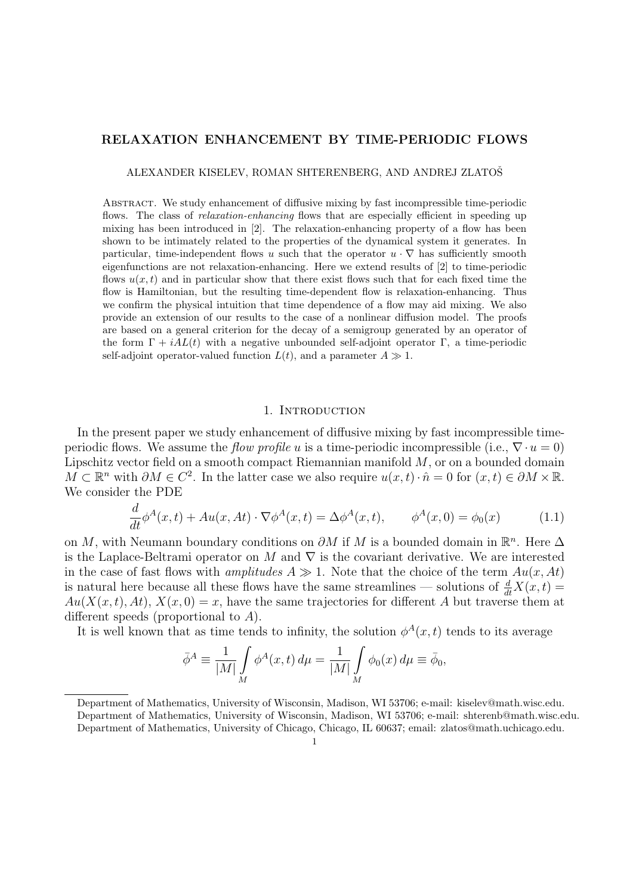# RELAXATION ENHANCEMENT BY TIME-PERIODIC FLOWS

ALEXANDER KISELEV, ROMAN SHTERENBERG, AND ANDREJ ZLATOSˇ

Abstract. We study enhancement of diffusive mixing by fast incompressible time-periodic flows. The class of *relaxation-enhancing* flows that are especially efficient in speeding up mixing has been introduced in [2]. The relaxation-enhancing property of a flow has been shown to be intimately related to the properties of the dynamical system it generates. In particular, time-independent flows u such that the operator  $u \cdot \nabla$  has sufficiently smooth eigenfunctions are not relaxation-enhancing. Here we extend results of [2] to time-periodic flows  $u(x, t)$  and in particular show that there exist flows such that for each fixed time the flow is Hamiltonian, but the resulting time-dependent flow is relaxation-enhancing. Thus we confirm the physical intuition that time dependence of a flow may aid mixing. We also provide an extension of our results to the case of a nonlinear diffusion model. The proofs are based on a general criterion for the decay of a semigroup generated by an operator of the form  $\Gamma + iAL(t)$  with a negative unbounded self-adjoint operator  $\Gamma$ , a time-periodic self-adjoint operator-valued function  $L(t)$ , and a parameter  $A \gg 1$ .

### 1. INTRODUCTION

In the present paper we study enhancement of diffusive mixing by fast incompressible timeperiodic flows. We assume the flow profile u is a time-periodic incompressible (i.e.,  $\nabla \cdot u = 0$ ) Lipschitz vector field on a smooth compact Riemannian manifold  $M$ , or on a bounded domain  $M \subset \mathbb{R}^n$  with  $\partial M \in C^2$ . In the latter case we also require  $u(x,t) \cdot \hat{n} = 0$  for  $(x,t) \in \partial M \times \mathbb{R}$ . We consider the PDE

$$
\frac{d}{dt}\phi^A(x,t) + Au(x, At) \cdot \nabla \phi^A(x,t) = \Delta \phi^A(x,t), \qquad \phi^A(x,0) = \phi_0(x) \tag{1.1}
$$

on M, with Neumann boundary conditions on  $\partial M$  if M is a bounded domain in  $\mathbb{R}^n$ . Here  $\Delta$ is the Laplace-Beltrami operator on M and  $\nabla$  is the covariant derivative. We are interested in the case of fast flows with *amplitudes*  $A \gg 1$ . Note that the choice of the term  $Au(x, At)$ is natural here because all these flows have the same streamlines — solutions of  $\frac{d}{dt}X(x,t)$  =  $Au(X(x, t), At), X(x, 0) = x$ , have the same trajectories for different A but traverse them at different speeds (proportional to A).

It is well known that as time tends to infinity, the solution  $\phi^A(x,t)$  tends to its average

$$
\bar{\phi}^A \equiv \frac{1}{|M|} \int_M \phi^A(x, t) d\mu = \frac{1}{|M|} \int_M \phi_0(x) d\mu \equiv \bar{\phi}_0,
$$

Department of Mathematics, University of Wisconsin, Madison, WI 53706; e-mail: kiselev@math.wisc.edu. Department of Mathematics, University of Wisconsin, Madison, WI 53706; e-mail: shterenb@math.wisc.edu. Department of Mathematics, University of Chicago, Chicago, IL 60637; email: zlatos@math.uchicago.edu.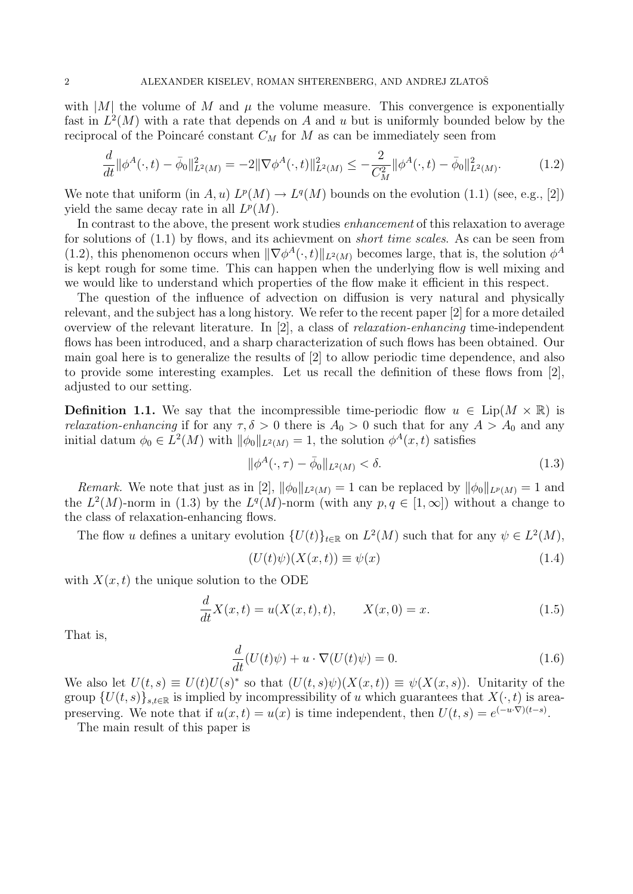with  $|M|$  the volume of M and  $\mu$  the volume measure. This convergence is exponentially fast in  $L^2(M)$  with a rate that depends on A and u but is uniformly bounded below by the reciprocal of the Poincaré constant  $C_M$  for M as can be immediately seen from

$$
\frac{d}{dt} \|\phi^A(\cdot, t) - \bar{\phi}_0\|_{L^2(M)}^2 = -2\|\nabla\phi^A(\cdot, t)\|_{L^2(M)}^2 \le -\frac{2}{C_M^2} \|\phi^A(\cdot, t) - \bar{\phi}_0\|_{L^2(M)}^2. \tag{1.2}
$$

We note that uniform  $(in A, u) L<sup>p</sup>(M) \to L<sup>q</sup>(M)$  bounds on the evolution  $(1.1)$  (see, e.g., [2]) yield the same decay rate in all  $L^p(M)$ .

In contrast to the above, the present work studies enhancement of this relaxation to average for solutions of (1.1) by flows, and its achievment on short time scales. As can be seen from (1.2), this phenomenon occurs when  $\|\nabla \phi^A(\cdot, t)\|_{L^2(M)}$  becomes large, that is, the solution  $\phi^A$ is kept rough for some time. This can happen when the underlying flow is well mixing and we would like to understand which properties of the flow make it efficient in this respect.

The question of the influence of advection on diffusion is very natural and physically relevant, and the subject has a long history. We refer to the recent paper [2] for a more detailed overview of the relevant literature. In [2], a class of relaxation-enhancing time-independent flows has been introduced, and a sharp characterization of such flows has been obtained. Our main goal here is to generalize the results of [2] to allow periodic time dependence, and also to provide some interesting examples. Let us recall the definition of these flows from [2], adjusted to our setting.

**Definition 1.1.** We say that the incompressible time-periodic flow  $u \in \text{Lip}(M \times \mathbb{R})$  is *relaxation-enhancing* if for any  $\tau, \delta > 0$  there is  $A_0 > 0$  such that for any  $A > A_0$  and any initial datum  $\phi_0 \in L^2(M)$  with  $\|\phi_0\|_{L^2(M)} = 1$ , the solution  $\phi^A(x, t)$  satisfies

$$
\|\phi^A(\cdot,\tau) - \bar{\phi}_0\|_{L^2(M)} < \delta. \tag{1.3}
$$

*Remark.* We note that just as in [2],  $\|\phi_0\|_{L^2(M)} = 1$  can be replaced by  $\|\phi_0\|_{L^p(M)} = 1$  and the  $L^2(M)$ -norm in (1.3) by the  $L^q(M)$ -norm (with any  $p, q \in [1, \infty]$ ) without a change to the class of relaxation-enhancing flows.

The flow u defines a unitary evolution  $\{U(t)\}_{t\in\mathbb{R}}$  on  $L^2(M)$  such that for any  $\psi \in L^2(M)$ ,

$$
(U(t)\psi)(X(x,t)) \equiv \psi(x) \tag{1.4}
$$

with  $X(x, t)$  the unique solution to the ODE

$$
\frac{d}{dt}X(x,t) = u(X(x,t),t), \qquad X(x,0) = x.
$$
\n(1.5)

That is,

$$
\frac{d}{dt}(U(t)\psi) + u \cdot \nabla(U(t)\psi) = 0.
$$
\n(1.6)

We also let  $U(t,s) \equiv U(t)U(s)^*$  so that  $(U(t,s)\psi)(X(x,t)) \equiv \psi(X(x,s))$ . Unitarity of the group  $\{U(t, s)\}_{s,t\in\mathbb{R}}$  is implied by incompressibility of u which guarantees that  $X(\cdot, t)$  is areapreserving. We note that if  $u(x,t) = u(x)$  is time independent, then  $U(t,s) = e^{(-u \cdot \nabla)(t-s)}$ .

The main result of this paper is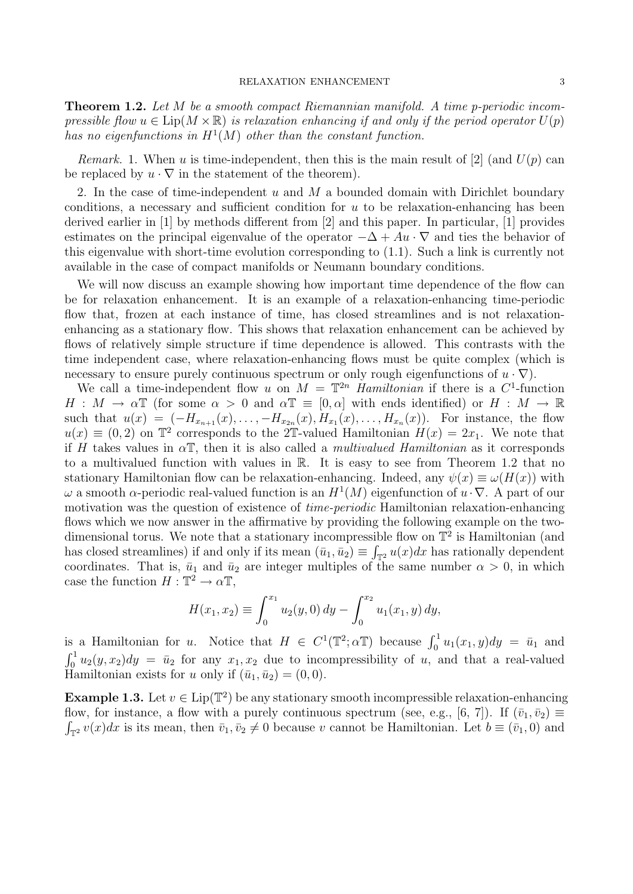**Theorem 1.2.** Let M be a smooth compact Riemannian manifold. A time p-periodic incompressible flow  $u \in \text{Lip}(M \times \mathbb{R})$  is relaxation enhancing if and only if the period operator  $U(p)$ has no eigenfunctions in  $H^1(M)$  other than the constant function.

Remark. 1. When u is time-independent, then this is the main result of [2] (and  $U(p)$  can be replaced by  $u \cdot \nabla$  in the statement of the theorem).

2. In the case of time-independent u and M a bounded domain with Dirichlet boundary conditions, a necessary and sufficient condition for  $u$  to be relaxation-enhancing has been derived earlier in [1] by methods different from [2] and this paper. In particular, [1] provides estimates on the principal eigenvalue of the operator  $-\Delta + Au \cdot \nabla$  and ties the behavior of this eigenvalue with short-time evolution corresponding to (1.1). Such a link is currently not available in the case of compact manifolds or Neumann boundary conditions.

We will now discuss an example showing how important time dependence of the flow can be for relaxation enhancement. It is an example of a relaxation-enhancing time-periodic flow that, frozen at each instance of time, has closed streamlines and is not relaxationenhancing as a stationary flow. This shows that relaxation enhancement can be achieved by flows of relatively simple structure if time dependence is allowed. This contrasts with the time independent case, where relaxation-enhancing flows must be quite complex (which is necessary to ensure purely continuous spectrum or only rough eigenfunctions of  $u \cdot \nabla$ ).

We call a time-independent flow u on  $M = \mathbb{T}^{2n}$  Hamiltonian if there is a C<sup>1</sup>-function  $H : M \to \alpha \mathbb{T}$  (for some  $\alpha > 0$  and  $\alpha \mathbb{T} \equiv [0, \alpha]$  with ends identified) or  $H : M \to \mathbb{R}$ such that  $u(x) = (-H_{x_{n+1}}(x),..., -H_{x_{2n}}(x),H_{x_1}(x),...,H_{x_n}(x))$ . For instance, the flow  $u(x) \equiv (0, 2)$  on  $\mathbb{T}^2$  corresponds to the 2T-valued Hamiltonian  $H(x) = 2x_1$ . We note that if H takes values in  $\alpha$ T, then it is also called a *multivalued Hamiltonian* as it corresponds to a multivalued function with values in R. It is easy to see from Theorem 1.2 that no stationary Hamiltonian flow can be relaxation-enhancing. Indeed, any  $\psi(x) \equiv \omega(H(x))$  with  $\omega$  a smooth α-periodic real-valued function is an  $H^1(M)$  eigenfunction of  $u \cdot \nabla$ . A part of our motivation was the question of existence of time-periodic Hamiltonian relaxation-enhancing flows which we now answer in the affirmative by providing the following example on the twodimensional torus. We note that a stationary incompressible flow on  $\mathbb{T}^2$  is Hamiltonian (and has closed streamlines) if and only if its mean  $(\bar{u}_1, \bar{u}_2) \equiv \int_{\mathbb{T}^2} u(x) dx$  has rationally dependent coordinates. That is,  $\bar{u}_1$  and  $\bar{u}_2$  are integer multiples of the same number  $\alpha > 0$ , in which case the function  $H: \mathbb{T}^2 \to \alpha \mathbb{T}$ ,

$$
H(x_1, x_2) \equiv \int_0^{x_1} u_2(y, 0) \, dy - \int_0^{x_2} u_1(x_1, y) \, dy,
$$

is a Hamiltonian for u. Notice that  $H \in C^1(\mathbb{T}^2; \alpha \mathbb{T})$  because  $\int_0^1 u_1(x_1, y) dy = \bar{u}_1$  and  $\int_0^1 u_2(y, x_2) dy = \bar{u}_2$  for any  $x_1, x_2$  due to incompressibility of u, and that a real-valued Hamiltonian exists for u only if  $(\bar{u}_1, \bar{u}_2) = (0, 0)$ .

**Example 1.3.** Let  $v \in Lip(\mathbb{T}^2)$  be any stationary smooth incompressible relaxation-enhancing flow, for instance, a flow with a purely continuous spectrum (see, e.g., [6, 7]). If  $(\bar{v}_1, \bar{v}_2) \equiv$  $\int_{\mathbb{T}^2} v(x)dx$  is its mean, then  $\bar{v}_1, \bar{v}_2 \neq 0$  because v cannot be Hamiltonian. Let  $b \equiv (\bar{v}_1, 0)$  and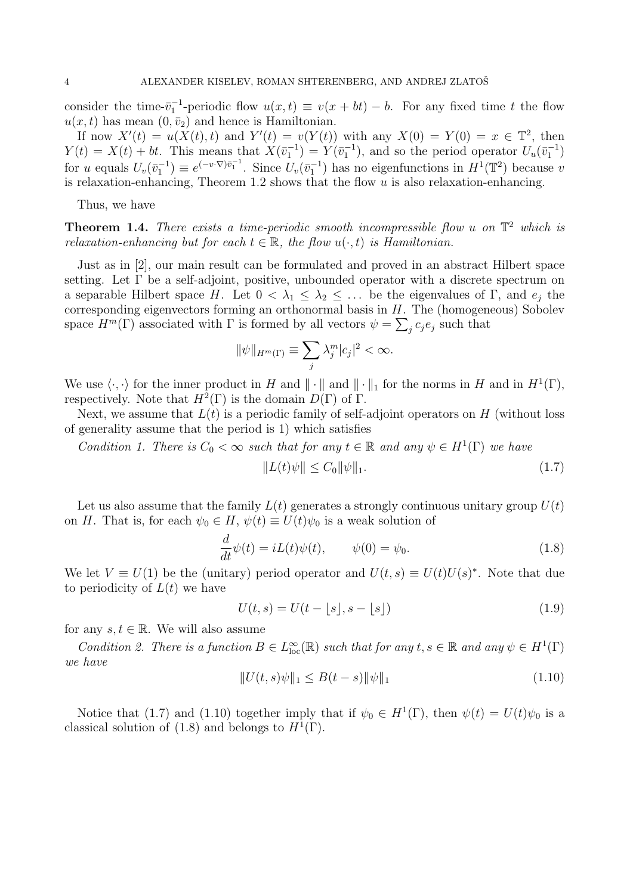consider the time- $\bar{v}_1^{-1}$ -periodic flow  $u(x,t) \equiv v(x + bt) - b$ . For any fixed time t the flow  $u(x, t)$  has mean  $(0, \bar{v}_2)$  and hence is Hamiltonian.

If now  $X'(t) = u(X(t), t)$  and  $Y'(t) = v(Y(t))$  with any  $X(0) = Y(0) = x \in \mathbb{T}^2$ , then  $Y(t) = X(t) + bt$ . This means that  $X(\bar{v}_1^{-1}) = Y(\bar{v}_1^{-1})$ , and so the period operator  $U_u(\bar{v}_1^{-1})$ for u equals  $U_v(\bar{v}_1^{-1}) \equiv e^{(-v\cdot \nabla)\bar{v}_1^{-1}}$ . Since  $U_v(\bar{v}_1^{-1})$  has no eigenfunctions in  $H^1(\mathbb{T}^2)$  because v is relaxation-enhancing, Theorem 1.2 shows that the flow  $u$  is also relaxation-enhancing.

Thus, we have

**Theorem 1.4.** There exists a time-periodic smooth incompressible flow u on  $\mathbb{T}^2$  which is relaxation-enhancing but for each  $t \in \mathbb{R}$ , the flow  $u(\cdot, t)$  is Hamiltonian.

Just as in [2], our main result can be formulated and proved in an abstract Hilbert space setting. Let Γ be a self-adjoint, positive, unbounded operator with a discrete spectrum on a separable Hilbert space H. Let  $0 < \lambda_1 \leq \lambda_2 \leq \ldots$  be the eigenvalues of Γ, and  $e_i$  the corresponding eigenvectors forming an orthonormal basis in  $H$ . The (homogeneous) Sobolev space  $H^m(\Gamma)$  associated with  $\Gamma$  is formed by all vectors  $\psi = \sum_j c_j e_j$  such that

$$
\|\psi\|_{H^m(\Gamma)} \equiv \sum_j \lambda_j^m |c_j|^2 < \infty.
$$

We use  $\langle \cdot, \cdot \rangle$  for the inner product in H and  $\|\cdot\|$  and  $\|\cdot\|_1$  for the norms in H and in  $H^1(\Gamma)$ , respectively. Note that  $H^2(\Gamma)$  is the domain  $D(\Gamma)$  of  $\Gamma$ .

Next, we assume that  $L(t)$  is a periodic family of self-adjoint operators on H (without loss of generality assume that the period is 1) which satisfies

Condition 1. There is  $C_0 < \infty$  such that for any  $t \in \mathbb{R}$  and any  $\psi \in H^1(\Gamma)$  we have

$$
||L(t)\psi|| \le C_0 ||\psi||_1. \tag{1.7}
$$

Let us also assume that the family  $L(t)$  generates a strongly continuous unitary group  $U(t)$ on H. That is, for each  $\psi_0 \in H$ ,  $\psi(t) \equiv U(t)\psi_0$  is a weak solution of

$$
\frac{d}{dt}\psi(t) = iL(t)\psi(t), \qquad \psi(0) = \psi_0.
$$
\n(1.8)

We let  $V \equiv U(1)$  be the (unitary) period operator and  $U(t, s) \equiv U(t)U(s)^*$ . Note that due to periodicity of  $L(t)$  we have

$$
U(t,s) = U(t - \lfloor s \rfloor, s - \lfloor s \rfloor) \tag{1.9}
$$

for any  $s, t \in \mathbb{R}$ . We will also assume

Condition 2. There is a function  $B \in L^{\infty}_{loc}(\mathbb{R})$  such that for any  $t, s \in \mathbb{R}$  and any  $\psi \in H^{1}(\Gamma)$ we have

$$
||U(t,s)\psi||_1 \le B(t-s)||\psi||_1 \tag{1.10}
$$

Notice that (1.7) and (1.10) together imply that if  $\psi_0 \in H^1(\Gamma)$ , then  $\psi(t) = U(t)\psi_0$  is a classical solution of (1.8) and belongs to  $H^1(\Gamma)$ .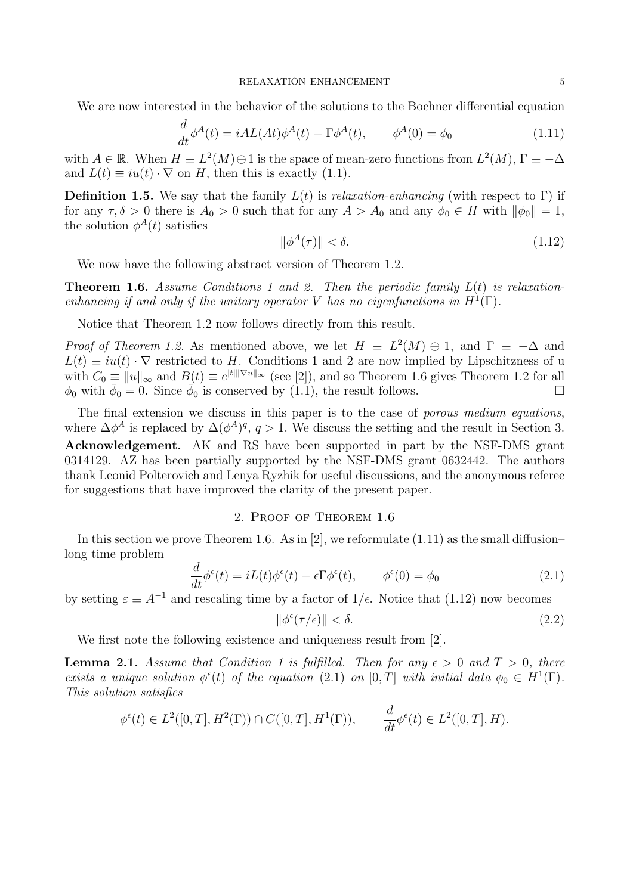We are now interested in the behavior of the solutions to the Bochner differential equation

$$
\frac{d}{dt}\phi^A(t) = iAL(At)\phi^A(t) - \Gamma\phi^A(t), \qquad \phi^A(0) = \phi_0
$$
\n(1.11)

with  $A \in \mathbb{R}$ . When  $H \equiv L^2(M) \oplus 1$  is the space of mean-zero functions from  $L^2(M)$ ,  $\Gamma \equiv -\Delta$ and  $L(t) \equiv iu(t) \cdot \nabla$  on H, then this is exactly (1.1).

**Definition 1.5.** We say that the family  $L(t)$  is relaxation-enhancing (with respect to Γ) if for any  $\tau, \delta > 0$  there is  $A_0 > 0$  such that for any  $A > A_0$  and any  $\phi_0 \in H$  with  $\|\phi_0\| = 1$ , the solution  $\phi^A(t)$  satisfies

$$
\|\phi^A(\tau)\| < \delta. \tag{1.12}
$$

We now have the following abstract version of Theorem 1.2.

**Theorem 1.6.** Assume Conditions 1 and 2. Then the periodic family  $L(t)$  is relaxationenhancing if and only if the unitary operator V has no eigenfunctions in  $H^1(\Gamma)$ .

Notice that Theorem 1.2 now follows directly from this result.

*Proof of Theorem 1.2.* As mentioned above, we let  $H \equiv L^2(M) \ominus 1$ , and  $\Gamma \equiv -\Delta$  and  $L(t) \equiv iu(t) \cdot \nabla$  restricted to H. Conditions 1 and 2 are now implied by Lipschitzness of u with  $C_0 \equiv ||u||_{\infty}$  and  $B(t) \equiv e^{|t||\nabla u||_{\infty}}$  (see [2]), and so Theorem 1.6 gives Theorem 1.2 for all  $\phi_0$  with  $\bar{\phi}_0 = 0$ . Since  $\bar{\phi}_0$  is conserved by (1.1), the result follows.

The final extension we discuss in this paper is to the case of porous medium equations, where  $\Delta \phi^A$  is replaced by  $\Delta (\phi^A)^q$ ,  $q>1$ . We discuss the setting and the result in Section 3. Acknowledgement. AK and RS have been supported in part by the NSF-DMS grant 0314129. AZ has been partially supported by the NSF-DMS grant 0632442. The authors thank Leonid Polterovich and Lenya Ryzhik for useful discussions, and the anonymous referee for suggestions that have improved the clarity of the present paper.

## 2. Proof of Theorem 1.6

In this section we prove Theorem 1.6. As in [2], we reformulate  $(1.11)$  as the small diffusion– long time problem

$$
\frac{d}{dt}\phi^{\epsilon}(t) = iL(t)\phi^{\epsilon}(t) - \epsilon \Gamma \phi^{\epsilon}(t), \qquad \phi^{\epsilon}(0) = \phi_0
$$
\n(2.1)

by setting  $\varepsilon \equiv A^{-1}$  and rescaling time by a factor of  $1/\epsilon$ . Notice that (1.12) now becomes

$$
\|\phi^{\epsilon}(\tau/\epsilon)\| < \delta. \tag{2.2}
$$

We first note the following existence and uniqueness result from [2].

**Lemma 2.1.** Assume that Condition 1 is fulfilled. Then for any  $\epsilon > 0$  and  $T > 0$ , there exists a unique solution  $\phi^{\epsilon}(t)$  of the equation (2.1) on [0, T] with initial data  $\phi_0 \in H^1(\Gamma)$ . This solution satisfies

$$
\phi^{\epsilon}(t) \in L^{2}([0,T], H^{2}(\Gamma)) \cap C([0,T], H^{1}(\Gamma)), \qquad \frac{d}{dt} \phi^{\epsilon}(t) \in L^{2}([0,T], H).
$$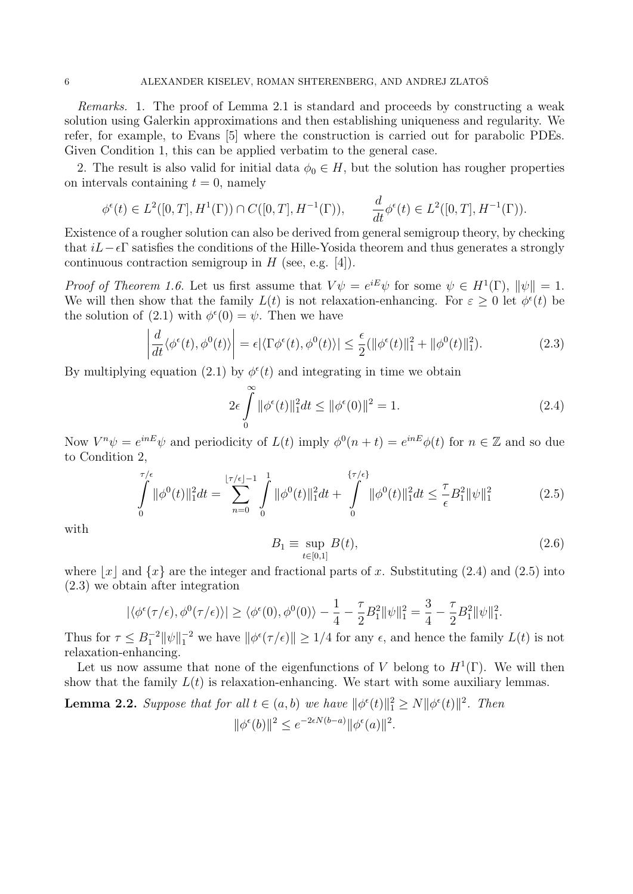Remarks. 1. The proof of Lemma 2.1 is standard and proceeds by constructing a weak solution using Galerkin approximations and then establishing uniqueness and regularity. We refer, for example, to Evans [5] where the construction is carried out for parabolic PDEs. Given Condition 1, this can be applied verbatim to the general case.

2. The result is also valid for initial data  $\phi_0 \in H$ , but the solution has rougher properties on intervals containing  $t = 0$ , namely

$$
\phi^{\epsilon}(t) \in L^{2}([0,T], H^{1}(\Gamma)) \cap C([0,T], H^{-1}(\Gamma)), \qquad \frac{d}{dt} \phi^{\epsilon}(t) \in L^{2}([0,T], H^{-1}(\Gamma)).
$$

Existence of a rougher solution can also be derived from general semigroup theory, by checking that  $iL-\epsilon\Gamma$  satisfies the conditions of the Hille-Yosida theorem and thus generates a strongly continuous contraction semigroup in  $H$  (see, e.g. [4]).

*Proof of Theorem 1.6.* Let us first assume that  $V\psi = e^{iE}\psi$  for some  $\psi \in H^1(\Gamma)$ ,  $\|\psi\| = 1$ . We will then show that the family  $L(t)$  is not relaxation-enhancing. For  $\varepsilon \geq 0$  let  $\phi^{\epsilon}(t)$  be the solution of (2.1) with  $\phi^{\epsilon}(0) = \psi$ . Then we have

$$
\left| \frac{d}{dt} \langle \phi^{\epsilon}(t), \phi^0(t) \rangle \right| = \epsilon |\langle \Gamma \phi^{\epsilon}(t), \phi^0(t) \rangle| \le \frac{\epsilon}{2} (\|\phi^{\epsilon}(t)\|_1^2 + \|\phi^0(t)\|_1^2). \tag{2.3}
$$

By multiplying equation (2.1) by  $\phi^{\epsilon}(t)$  and integrating in time we obtain

$$
2\epsilon \int_{0}^{\infty} \|\phi^{\epsilon}(t)\|_{1}^{2} dt \le \|\phi^{\epsilon}(0)\|^{2} = 1.
$$
 (2.4)

Now  $V^n \psi = e^{inE} \psi$  and periodicity of  $L(t)$  imply  $\phi^0(n+t) = e^{inE} \phi(t)$  for  $n \in \mathbb{Z}$  and so due to Condition 2,

$$
\int_{0}^{\tau/\epsilon} \|\phi^{0}(t)\|_{1}^{2}dt = \sum_{n=0}^{\lfloor \tau/\epsilon \rfloor - 1} \int_{0}^{1} \|\phi^{0}(t)\|_{1}^{2}dt + \int_{0}^{\{\tau/\epsilon\}} \|\phi^{0}(t)\|_{1}^{2}dt \leq \frac{\tau}{\epsilon}B_{1}^{2} \|\psi\|_{1}^{2}
$$
(2.5)

with

$$
B_1 \equiv \sup_{t \in [0,1]} B(t),\tag{2.6}
$$

where  $x \mid x$  and  $\{x\}$  are the integer and fractional parts of x. Substituting (2.4) and (2.5) into (2.3) we obtain after integration

$$
|\langle \phi^{\epsilon}(\tau/\epsilon), \phi^0(\tau/\epsilon) \rangle| \ge \langle \phi^{\epsilon}(0), \phi^0(0) \rangle - \frac{1}{4} - \frac{\tau}{2} B_1^2 ||\psi||_1^2 = \frac{3}{4} - \frac{\tau}{2} B_1^2 ||\psi||_1^2.
$$

Thus for  $\tau \leq B_1^{-2} \|\psi\|_1^{-2}$  we have  $\|\phi^{\epsilon}(\tau/\epsilon)\| \geq 1/4$  for any  $\epsilon$ , and hence the family  $L(t)$  is not relaxation-enhancing.

Let us now assume that none of the eigenfunctions of V belong to  $H^1(\Gamma)$ . We will then show that the family  $L(t)$  is relaxation-enhancing. We start with some auxiliary lemmas.

**Lemma 2.2.** Suppose that for all 
$$
t \in (a, b)
$$
 we have  $\|\phi^{\epsilon}(t)\|_{1}^{2} \ge N \|\phi^{\epsilon}(t)\|^{2}$ . Then  

$$
\|\phi^{\epsilon}(b)\|^{2} \le e^{-2\epsilon N(b-a)} \|\phi^{\epsilon}(a)\|^{2}.
$$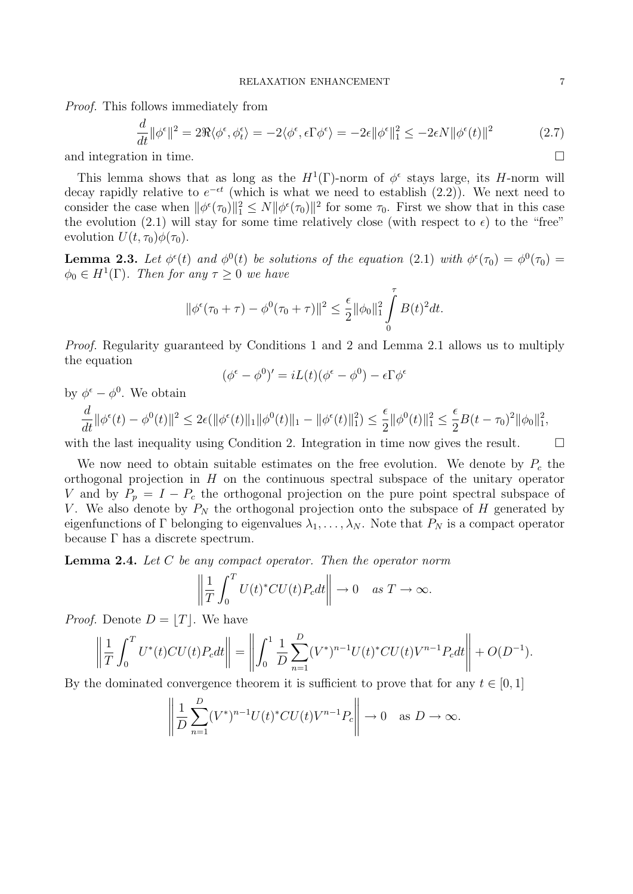Proof. This follows immediately from

$$
\frac{d}{dt} \|\phi^{\epsilon}\|^{2} = 2\Re\langle\phi^{\epsilon}, \phi^{\epsilon}_{t}\rangle = -2\langle\phi^{\epsilon}, \epsilon\Gamma\phi^{\epsilon}\rangle = -2\epsilon \|\phi^{\epsilon}\|_{1}^{2} \le -2\epsilon N \|\phi^{\epsilon}(t)\|^{2}
$$
\n(2.7)

and integration in time.

This lemma shows that as long as the  $H^1(\Gamma)$ -norm of  $\phi^{\epsilon}$  stays large, its H-norm will decay rapidly relative to  $e^{-\epsilon t}$  (which is what we need to establish (2.2)). We next need to consider the case when  $\|\phi^{\epsilon}(\tau_0)\|_{1}^{2} \leq N \|\phi^{\epsilon}(\tau_0)\|^{2}$  for some  $\tau_0$ . First we show that in this case the evolution (2.1) will stay for some time relatively close (with respect to  $\epsilon$ ) to the "free" evolution  $U(t, \tau_0)\phi(\tau_0)$ .

**Lemma 2.3.** Let  $\phi^{\epsilon}(t)$  and  $\phi^{0}(t)$  be solutions of the equation (2.1) with  $\phi^{\epsilon}(\tau_0) = \phi^{0}(\tau_0)$  $\phi_0 \in H^1(\Gamma)$ . Then for any  $\tau \geq 0$  we have

$$
\|\phi^{\epsilon}(\tau_0 + \tau) - \phi^0(\tau_0 + \tau)\|^2 \le \frac{\epsilon}{2} \|\phi_0\|_1^2 \int_0^{\tau} B(t)^2 dt.
$$

Proof. Regularity guaranteed by Conditions 1 and 2 and Lemma 2.1 allows us to multiply the equation

$$
(\phi^{\epsilon} - \phi^0)' = iL(t)(\phi^{\epsilon} - \phi^0) - \epsilon \Gamma \phi^{\epsilon}
$$

by  $\phi^{\epsilon} - \phi^0$ . We obtain

$$
\frac{d}{dt} \|\phi^{\epsilon}(t) - \phi^{0}(t)\|^{2} \leq 2\epsilon (\|\phi^{\epsilon}(t)\|_{1} \|\phi^{0}(t)\|_{1} - \|\phi^{\epsilon}(t)\|_{1}^{2}) \leq \frac{\epsilon}{2} \|\phi^{0}(t)\|_{1}^{2} \leq \frac{\epsilon}{2} B(t - \tau_{0})^{2} \|\phi_{0}\|_{1}^{2},
$$

with the last inequality using Condition 2. Integration in time now gives the result.  $\Box$ 

We now need to obtain suitable estimates on the free evolution. We denote by  $P_c$  the orthogonal projection in  $H$  on the continuous spectral subspace of the unitary operator V and by  $P_p = I - P_c$  the orthogonal projection on the pure point spectral subspace of V. We also denote by  $P_N$  the orthogonal projection onto the subspace of H generated by eigenfunctions of Γ belonging to eigenvalues  $\lambda_1, \ldots, \lambda_N$ . Note that  $P_N$  is a compact operator because  $\Gamma$  has a discrete spectrum.

**Lemma 2.4.** Let C be any compact operator. Then the operator norm

$$
\left\| \frac{1}{T} \int_0^T U(t)^* C U(t) P_c dt \right\| \to 0 \quad \text{as } T \to \infty.
$$

*Proof.* Denote  $D = |T|$ . We have

$$
\left\| \frac{1}{T} \int_0^T U^*(t) C U(t) P_c dt \right\| = \left\| \int_0^1 \frac{1}{D} \sum_{n=1}^D (V^*)^{n-1} U(t)^* C U(t) V^{n-1} P_c dt \right\| + O(D^{-1}).
$$

By the dominated convergence theorem it is sufficient to prove that for any  $t \in [0, 1]$ 

$$
\left\| \frac{1}{D} \sum_{n=1}^{D} (V^*)^{n-1} U(t)^* C U(t) V^{n-1} P_c \right\| \to 0 \quad \text{as } D \to \infty.
$$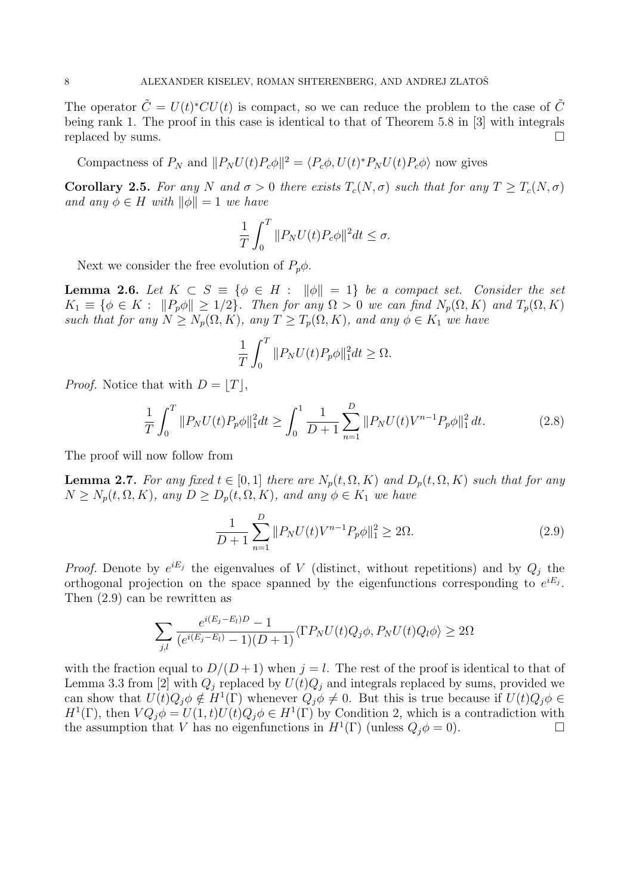The operator  $\tilde{C} = U(t)^*CU(t)$  is compact, so we can reduce the problem to the case of  $\tilde{C}$ being rank 1. The proof in this case is identical to that of Theorem 5.8 in [3] with integrals replaced by sums.

Compactness of  $P_N$  and  $||P_N U(t) P_c \phi||^2 = \langle P_c \phi, U(t)^* P_N U(t) P_c \phi \rangle$  now gives

Corollary 2.5. For any N and  $\sigma > 0$  there exists  $T_c(N, \sigma)$  such that for any  $T \ge T_c(N, \sigma)$ and any  $\phi \in H$  with  $\|\phi\| = 1$  we have

$$
\frac{1}{T} \int_0^T \|P_N U(t) P_c \phi\|^2 dt \le \sigma.
$$

Next we consider the free evolution of  $P_p\phi$ .

**Lemma 2.6.** Let  $K \subset S \equiv \{\phi \in H : ||\phi|| = 1\}$  be a compact set. Consider the set  $K_1 \equiv \{\phi \in K : ||P_p\phi|| \geq 1/2\}$ . Then for any  $\Omega > 0$  we can find  $N_p(\Omega, K)$  and  $T_p(\Omega, K)$ such that for any  $N \ge N_p(\Omega, K)$ , any  $T \ge T_p(\Omega, K)$ , and any  $\phi \in K_1$  we have

$$
\frac{1}{T} \int_0^T \|P_N U(t) P_p \phi\|_1^2 dt \ge \Omega.
$$

*Proof.* Notice that with  $D = |T|$ ,

$$
\frac{1}{T} \int_0^T \|P_N U(t) P_p \phi\|_1^2 dt \ge \int_0^1 \frac{1}{D+1} \sum_{n=1}^D \|P_N U(t) V^{n-1} P_p \phi\|_1^2 dt.
$$
 (2.8)

The proof will now follow from

**Lemma 2.7.** For any fixed  $t \in [0,1]$  there are  $N_p(t, \Omega, K)$  and  $D_p(t, \Omega, K)$  such that for any  $N \geq N_p(t, \Omega, K)$ , any  $D \geq D_p(t, \Omega, K)$ , and any  $\phi \in K_1$  we have

$$
\frac{1}{D+1} \sum_{n=1}^{D} \| P_N U(t) V^{n-1} P_p \phi \|_1^2 \ge 2\Omega.
$$
 (2.9)

*Proof.* Denote by  $e^{iE_j}$  the eigenvalues of V (distinct, without repetitions) and by  $Q_j$  the orthogonal projection on the space spanned by the eigenfunctions corresponding to  $e^{iE_j}$ . Then (2.9) can be rewritten as

$$
\sum_{j,l} \frac{e^{i(E_j - E_l)D} - 1}{(e^{i(E_j - E_l)} - 1)(D + 1)} \langle \Gamma P_N U(t) Q_j \phi, P_N U(t) Q_l \phi \rangle \ge 2\Omega
$$

with the fraction equal to  $D/(D+1)$  when  $j=l$ . The rest of the proof is identical to that of Lemma 3.3 from [2] with  $Q_i$  replaced by  $U(t)Q_i$  and integrals replaced by sums, provided we can show that  $U(t)Q_j\phi \notin H^1(\Gamma)$  whenever  $Q_j\phi \neq 0$ . But this is true because if  $U(t)Q_j\phi \in$  $H^1(\Gamma)$ , then  $VQ_j \phi = U(1,t)U(t)Q_j \phi \in H^1(\Gamma)$  by Condition 2, which is a contradiction with the assumption that V has no eigenfunctions in  $H^1(\Gamma)$  (unless  $Q_j \phi = 0$ ).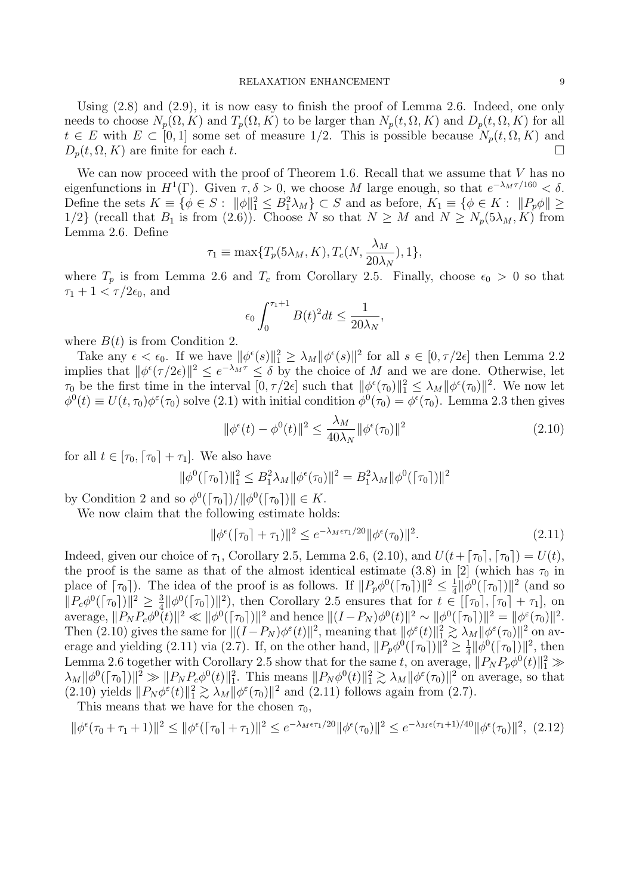Using (2.8) and (2.9), it is now easy to finish the proof of Lemma 2.6. Indeed, one only needs to choose  $N_p(\Omega, K)$  and  $T_p(\Omega, K)$  to be larger than  $N_p(t, \Omega, K)$  and  $D_p(t, \Omega, K)$  for all  $t \in E$  with  $E \subset [0, 1]$  some set of measure 1/2. This is possible because  $N_p(t, \Omega, K)$  and  $D_p(t, \Omega, K)$  are finite for each t.

We can now proceed with the proof of Theorem 1.6. Recall that we assume that V has no eigenfunctions in  $H^1(\Gamma)$ . Given  $\tau, \delta > 0$ , we choose M large enough, so that  $e^{-\lambda_M \tau/160} < \delta$ . Define the sets  $K \equiv \{ \phi \in S : ||\phi||_1^2 \leq B_1^2 \lambda_M \} \subset S$  and as before,  $K_1 \equiv \{ \phi \in K : ||P_p \phi|| \geq$ 1/2} (recall that  $B_1$  is from (2.6)). Choose N so that  $N \geq M$  and  $N \geq N_p(5\lambda_M, K)$  from Lemma 2.6. Define

$$
\tau_1 \equiv \max\{T_p(5\lambda_M, K), T_c(N, \frac{\lambda_M}{20\lambda_N}), 1\},\
$$

where  $T_p$  is from Lemma 2.6 and  $T_c$  from Corollary 2.5. Finally, choose  $\epsilon_0 > 0$  so that  $\tau_1 + 1 < \tau/2\epsilon_0$ , and

$$
\epsilon_0 \int_0^{\tau_1+1} B(t)^2 dt \le \frac{1}{20\lambda_N},
$$

where  $B(t)$  is from Condition 2.

Take any  $\epsilon < \epsilon_0$ . If we have  $\|\phi^{\epsilon}(s)\|_1^2 \geq \lambda_M \|\phi^{\epsilon}(s)\|^2$  for all  $s \in [0, \tau/2\epsilon]$  then Lemma 2.2 implies that  $\|\phi^{\epsilon}(\tau/2\epsilon)\|^2 \leq e^{-\lambda_M \tau} \leq \delta$  by the choice of M and we are done. Otherwise, let  $\tau_0$  be the first time in the interval  $[0, \tau/2\epsilon]$  such that  $\|\phi^\epsilon(\tau_0)\|_1^2 \leq \lambda_M \|\phi^\epsilon(\tau_0)\|^2$ . We now let  $\phi^0(t) \equiv U(t, \tau_0) \phi^{\varepsilon}(\tau_0)$  solve (2.1) with initial condition  $\phi^0(\tau_0) = \phi^{\varepsilon}(\tau_0)$ . Lemma 2.3 then gives

$$
\|\phi^{\epsilon}(t) - \phi^{0}(t)\|^{2} \le \frac{\lambda_{M}}{40\lambda_{N}} \|\phi^{\epsilon}(\tau_{0})\|^{2}
$$
\n(2.10)

for all  $t \in [\tau_0, \lceil \tau_0 \rceil + \tau_1]$ . We also have

$$
\|\phi^{0}(\lceil \tau_{0} \rceil)\|_{1}^{2} \leq B_{1}^{2}\lambda_{M} \|\phi^{\epsilon}(\tau_{0})\|^{2} = B_{1}^{2}\lambda_{M} \|\phi^{0}(\lceil \tau_{0} \rceil)\|^{2}
$$

by Condition 2 and so  $\phi^0(\lceil \tau_0 \rceil) / ||\phi^0(\lceil \tau_0 \rceil) || \in K$ .

We now claim that the following estimate holds:

$$
\|\phi^{\epsilon}(\lceil \tau_0 \rceil + \tau_1) \|^2 \le e^{-\lambda_M \epsilon \tau_1/20} \|\phi^{\epsilon}(\tau_0)\|^2. \tag{2.11}
$$

Indeed, given our choice of  $\tau_1$ , Corollary 2.5, Lemma 2.6, (2.10), and  $U(t+\lceil \tau_0 \rceil, \lceil \tau_0 \rceil) = U(t)$ , the proof is the same as that of the almost identical estimate (3.8) in [2] (which has  $\tau_0$  in place of  $[\tau_0]$ ). The idea of the proof is as follows. If  $||P_p\phi^0([\tau_0])||^2 \leq \frac{1}{4}$  $\frac{1}{4} \|\phi^0(\lceil \tau_0 \rceil)\|^2$  (and so  $||P_c\phi^0(\lceil \tau_0 \rceil)||^2 \geq \frac{3}{4}$  $\frac{3}{4} \|\phi^0([\tau_0])\|^2$ , then Corollary 2.5 ensures that for  $t \in [[\tau_0], [\tau_0] + \tau_1]$ , on average,  $||P_N P_c \phi^0(t)||^2 \ll ||\phi^0([\tau_0])||^2$  and hence  $||(I - P_N)\phi^0(t)||^2 \sim ||\phi^0([\tau_0])||^2 = ||\phi^{\varepsilon}(\tau_0)||^2$ . Then (2.10) gives the same for  $||(I-P_N)\phi^{\varepsilon}(t)||^2$ , meaning that  $||\phi^{\varepsilon}(t)||_1^2 \gtrsim \lambda_M ||\phi^{\varepsilon}(\tau_0)||^2$  on average and yielding (2.11) via (2.7). If, on the other hand,  $||P_p\phi^0([\tau_0])||^2 \ge \frac{1}{4}$  $\frac{1}{4} ||\phi^{0}(\lceil \tau_{0} \rceil)||^{2}$ , then Lemma 2.6 together with Corollary 2.5 show that for the same t, on average,  $||P_N P_p \phi^0(t)||_1^2 \gg$  $\lambda_M \|\phi^0(\lceil \tau_0 \rceil) \|^{2} \gg \|P_N P_c \phi^0(t) \|_{1}^{2}$ . This means  $\|P_N \phi^0(t) \|_{1}^{2} \gtrsim \lambda_M \|\phi^{\varepsilon}(\tau_0) \|^{2}$  on average, so that (2.10) yields  $||P_N\phi^{\varepsilon}(t)||_1^2 \gtrsim \lambda_M ||\phi^{\varepsilon}(\tau_0)||^2$  and (2.11) follows again from (2.7).

This means that we have for the chosen  $\tau_0$ ,

$$
\|\phi^{\epsilon}(\tau_0 + \tau_1 + 1)\|^2 \le \|\phi^{\epsilon}(\tau_0 + \tau_1)\|^2 \le e^{-\lambda_M \epsilon \tau_1/20} \|\phi^{\epsilon}(\tau_0)\|^2 \le e^{-\lambda_M \epsilon (\tau_1 + 1)/40} \|\phi^{\epsilon}(\tau_0)\|^2, (2.12)
$$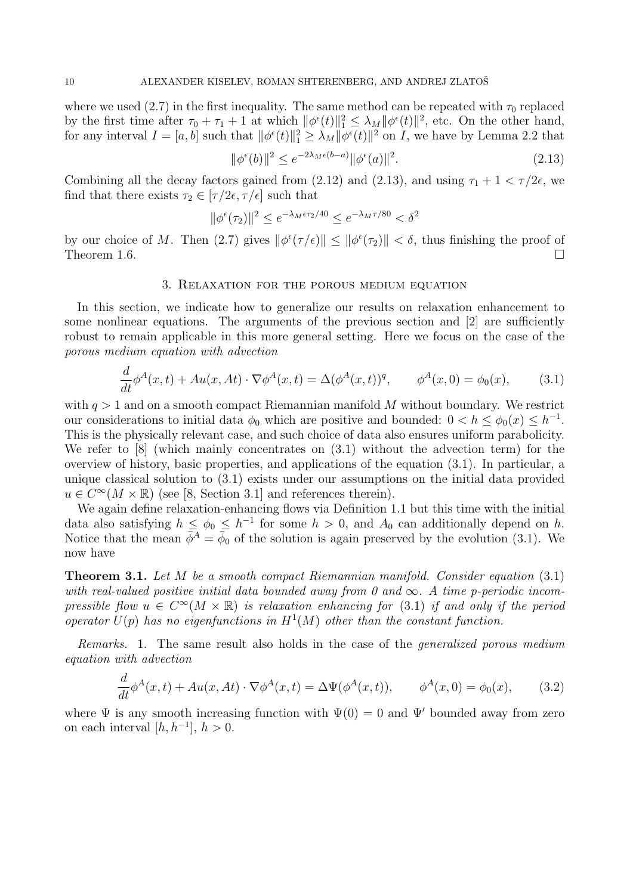where we used (2.7) in the first inequality. The same method can be repeated with  $\tau_0$  replaced by the first time after  $\tau_0 + \tau_1 + 1$  at which  $\|\phi^{\epsilon}(t)\|_1^2 \leq \lambda_M \|\phi^{\epsilon}(t)\|^2$ , etc. On the other hand, for any interval  $I = [a, b]$  such that  $\|\phi^{\epsilon}(t)\|_{1}^{2} \geq \lambda_{M} \|\phi^{\epsilon}(t)\|_{1}^{2}$  on I, we have by Lemma 2.2 that

$$
\|\phi^{\epsilon}(b)\|^2 \le e^{-2\lambda_M \epsilon(b-a)} \|\phi^{\epsilon}(a)\|^2. \tag{2.13}
$$

Combining all the decay factors gained from (2.12) and (2.13), and using  $\tau_1 + 1 < \tau/2\epsilon$ , we find that there exists  $\tau_2 \in [\tau/2\epsilon, \tau/\epsilon]$  such that

$$
\|\phi^{\epsilon}(\tau_2)\|^2 \le e^{-\lambda_M \epsilon \tau_2/40} \le e^{-\lambda_M \tau/80} < \delta^2
$$

by our choice of M. Then (2.7) gives  $\|\phi^{\epsilon}(\tau/\epsilon)\| \leq \|\phi^{\epsilon}(\tau_2)\| < \delta$ , thus finishing the proof of Theorem 1.6.  $\Box$ 

### 3. Relaxation for the porous medium equation

In this section, we indicate how to generalize our results on relaxation enhancement to some nonlinear equations. The arguments of the previous section and [2] are sufficiently robust to remain applicable in this more general setting. Here we focus on the case of the porous medium equation with advection

$$
\frac{d}{dt}\phi^A(x,t) + Au(x, At) \cdot \nabla \phi^A(x,t) = \Delta(\phi^A(x,t))^q, \qquad \phi^A(x,0) = \phi_0(x), \tag{3.1}
$$

with  $q > 1$  and on a smooth compact Riemannian manifold M without boundary. We restrict our considerations to initial data  $\phi_0$  which are positive and bounded:  $0 < h \leq \phi_0(x) \leq h^{-1}$ . This is the physically relevant case, and such choice of data also ensures uniform parabolicity. We refer to [8] (which mainly concentrates on (3.1) without the advection term) for the overview of history, basic properties, and applications of the equation (3.1). In particular, a unique classical solution to (3.1) exists under our assumptions on the initial data provided  $u \in C^{\infty}(M \times \mathbb{R})$  (see [8, Section 3.1] and references therein).

We again define relaxation-enhancing flows via Definition 1.1 but this time with the initial data also satisfying  $h \leq \phi_0 \leq h^{-1}$  for some  $h > 0$ , and  $A_0$  can additionally depend on h. Notice that the mean  $\bar{\phi}^A = \bar{\phi}_0$  of the solution is again preserved by the evolution (3.1). We now have

Theorem 3.1. Let M be a smooth compact Riemannian manifold. Consider equation (3.1) with real-valued positive initial data bounded away from 0 and  $\infty$ . A time p-periodic incompressible flow  $u \in C^{\infty}(M \times \mathbb{R})$  is relaxation enhancing for (3.1) if and only if the period operator  $U(p)$  has no eigenfunctions in  $H^1(M)$  other than the constant function.

Remarks. 1. The same result also holds in the case of the generalized porous medium equation with advection

$$
\frac{d}{dt}\phi^A(x,t) + Au(x, At) \cdot \nabla \phi^A(x,t) = \Delta \Psi(\phi^A(x,t)), \qquad \phi^A(x,0) = \phi_0(x), \qquad (3.2)
$$

where  $\Psi$  is any smooth increasing function with  $\Psi(0) = 0$  and  $\Psi'$  bounded away from zero on each interval  $[h, h^{-1}], h > 0.$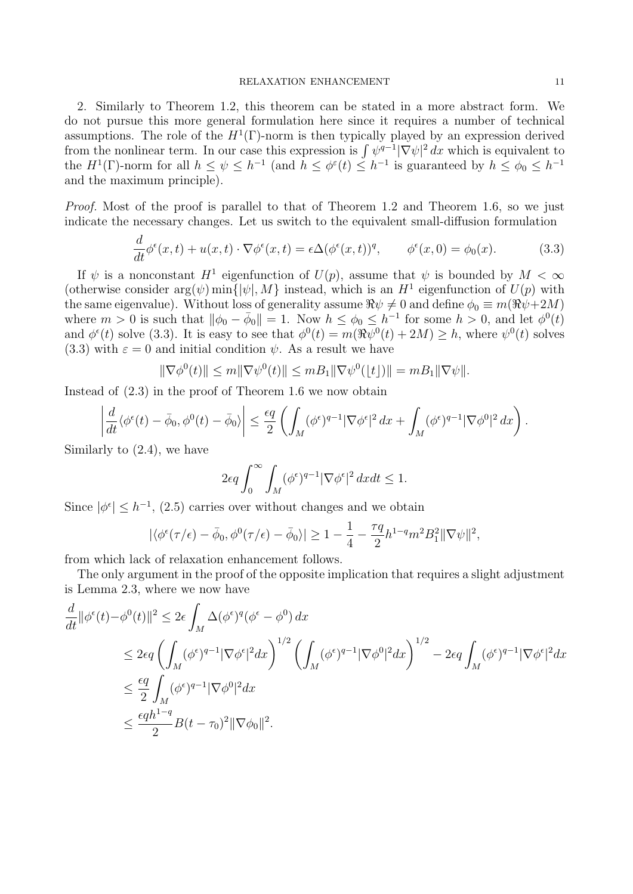2. Similarly to Theorem 1.2, this theorem can be stated in a more abstract form. We do not pursue this more general formulation here since it requires a number of technical assumptions. The role of the  $H^1(\Gamma)$ -norm is then typically played by an expression derived from the nonlinear term. In our case this expression is  $\int \psi^{q-1} |\nabla \psi|^2 dx$  which is equivalent to the  $H^1(\Gamma)$ -norm for all  $h \leq \psi \leq h^{-1}$  (and  $h \leq \phi^{\epsilon}(t) \leq h^{-1}$  is guaranteed by  $h \leq \phi_0 \leq h^{-1}$ and the maximum principle).

Proof. Most of the proof is parallel to that of Theorem 1.2 and Theorem 1.6, so we just indicate the necessary changes. Let us switch to the equivalent small-diffusion formulation

$$
\frac{d}{dt}\phi^{\epsilon}(x,t) + u(x,t)\cdot \nabla \phi^{\epsilon}(x,t) = \epsilon \Delta(\phi^{\epsilon}(x,t))^q, \qquad \phi^{\epsilon}(x,0) = \phi_0(x). \tag{3.3}
$$

If  $\psi$  is a nonconstant  $H^1$  eigenfunction of  $U(p)$ , assume that  $\psi$  is bounded by  $M < \infty$ (otherwise consider  $arg(\psi)$  min ${\{\psi, M\}}$  instead, which is an  $H^1$  eigenfunction of  $U(p)$  with the same eigenvalue). Without loss of generality assume  $\Re \psi \neq 0$  and define  $\phi_0 \equiv m(\Re \psi + 2M)$ where  $m > 0$  is such that  $\|\phi_0 - \bar{\phi}_0\| = 1$ . Now  $h \leq \phi_0 \leq h^{-1}$  for some  $h > 0$ , and let  $\phi^0(t)$ and  $\phi^{\epsilon}(t)$  solve (3.3). It is easy to see that  $\phi^{0}(t) = m(\Re \psi^{0}(t) + 2M) \geq h$ , where  $\psi^{0}(t)$  solves (3.3) with  $\varepsilon = 0$  and initial condition  $\psi$ . As a result we have

$$
\|\nabla \phi^{0}(t)\| \leq m \|\nabla \psi^{0}(t)\| \leq m B_{1} \|\nabla \psi^{0}(\lfloor t \rfloor)\| = m B_{1} \|\nabla \psi\|.
$$

Instead of (2.3) in the proof of Theorem 1.6 we now obtain

$$
\left| \frac{d}{dt} \langle \phi^{\epsilon}(t) - \bar{\phi}_0, \phi^0(t) - \bar{\phi}_0 \rangle \right| \leq \frac{\epsilon q}{2} \left( \int_M (\phi^{\epsilon})^{q-1} |\nabla \phi^{\epsilon}|^2 dx + \int_M (\phi^{\epsilon})^{q-1} |\nabla \phi^0|^2 dx \right).
$$

Similarly to (2.4), we have

$$
2\epsilon q\int_0^\infty \int_M (\phi^\epsilon)^{q-1}|\nabla\phi^\epsilon|^2\,dxdt\leq 1.
$$

Since  $|\phi^{\epsilon}| \leq h^{-1}$ , (2.5) carries over without changes and we obtain

$$
|\langle \phi^{\epsilon}(\tau/\epsilon) - \bar{\phi}_0, \phi^0(\tau/\epsilon) - \bar{\phi}_0 \rangle| \ge 1 - \frac{1}{4} - \frac{\tau q}{2} h^{1-q} m^2 B_1^2 ||\nabla \psi||^2,
$$

from which lack of relaxation enhancement follows.

The only argument in the proof of the opposite implication that requires a slight adjustment is Lemma 2.3, where we now have

$$
\frac{d}{dt} ||\phi^{\epsilon}(t) - \phi^{0}(t)||^{2} \leq 2\epsilon \int_{M} \Delta(\phi^{\epsilon})^{q} (\phi^{\epsilon} - \phi^{0}) dx
$$
\n
$$
\leq 2\epsilon q \left( \int_{M} (\phi^{\epsilon})^{q-1} |\nabla \phi^{\epsilon}|^{2} dx \right)^{1/2} \left( \int_{M} (\phi^{\epsilon})^{q-1} |\nabla \phi^{0}|^{2} dx \right)^{1/2} - 2\epsilon q \int_{M} (\phi^{\epsilon})^{q-1} |\nabla \phi^{\epsilon}|^{2} dx
$$
\n
$$
\leq \frac{\epsilon q}{2} \int_{M} (\phi^{\epsilon})^{q-1} |\nabla \phi^{0}|^{2} dx
$$
\n
$$
\leq \frac{\epsilon q h^{1-q}}{2} B(t - \tau_{0})^{2} ||\nabla \phi_{0}||^{2}.
$$